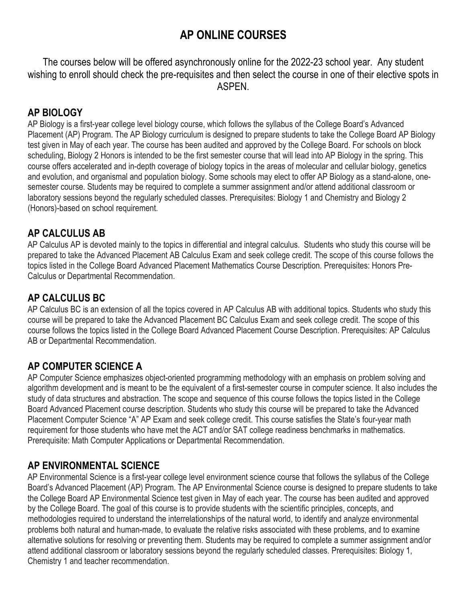# **AP ONLINE COURSES**

The courses below will be offered asynchronously online for the 2022-23 school year. Any student wishing to enroll should check the pre-requisites and then select the course in one of their elective spots in ASPEN.

## **AP BIOLOGY**

AP Biology is a first-year college level biology course, which follows the syllabus of the College Board's Advanced Placement (AP) Program. The AP Biology curriculum is designed to prepare students to take the College Board AP Biology test given in May of each year. The course has been audited and approved by the College Board. For schools on block scheduling, Biology 2 Honors is intended to be the first semester course that will lead into AP Biology in the spring. This course offers accelerated and in-depth coverage of biology topics in the areas of molecular and cellular biology, genetics and evolution, and organismal and population biology. Some schools may elect to offer AP Biology as a stand-alone, onesemester course. Students may be required to complete a summer assignment and/or attend additional classroom or laboratory sessions beyond the regularly scheduled classes. Prerequisites: Biology 1 and Chemistry and Biology 2 (Honors)-based on school requirement.

## **AP CALCULUS AB**

AP Calculus AP is devoted mainly to the topics in differential and integral calculus. Students who study this course will be prepared to take the Advanced Placement AB Calculus Exam and seek college credit. The scope of this course follows the topics listed in the College Board Advanced Placement Mathematics Course Description. Prerequisites: Honors Pre-Calculus or Departmental Recommendation.

# **AP CALCULUS BC**

AP Calculus BC is an extension of all the topics covered in AP Calculus AB with additional topics. Students who study this course will be prepared to take the Advanced Placement BC Calculus Exam and seek college credit. The scope of this course follows the topics listed in the College Board Advanced Placement Course Description. Prerequisites: AP Calculus AB or Departmental Recommendation.

# **AP COMPUTER SCIENCE A**

AP Computer Science emphasizes object-oriented programming methodology with an emphasis on problem solving and algorithm development and is meant to be the equivalent of a first-semester course in computer science. It also includes the study of data structures and abstraction. The scope and sequence of this course follows the topics listed in the College Board Advanced Placement course description. Students who study this course will be prepared to take the Advanced Placement Computer Science "A" AP Exam and seek college credit. This course satisfies the State's four-year math requirement for those students who have met the ACT and/or SAT college readiness benchmarks in mathematics. Prerequisite: Math Computer Applications or Departmental Recommendation.

# **AP ENVIRONMENTAL SCIENCE**

AP Environmental Science is a first-year college level environment science course that follows the syllabus of the College Board's Advanced Placement (AP) Program. The AP Environmental Science course is designed to prepare students to take the College Board AP Environmental Science test given in May of each year. The course has been audited and approved by the College Board. The goal of this course is to provide students with the scientific principles, concepts, and methodologies required to understand the interrelationships of the natural world, to identify and analyze environmental problems both natural and human-made, to evaluate the relative risks associated with these problems, and to examine alternative solutions for resolving or preventing them. Students may be required to complete a summer assignment and/or attend additional classroom or laboratory sessions beyond the regularly scheduled classes. Prerequisites: Biology 1, Chemistry 1 and teacher recommendation.